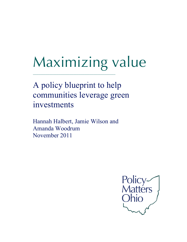# Maximizing value

A policy blueprint to help communities leverage green investments

\_\_\_\_\_\_\_\_\_\_\_\_\_\_\_\_\_\_\_\_\_\_\_\_\_\_\_\_\_\_\_\_\_\_\_\_\_\_\_\_\_\_\_\_\_

Hannah Halbert, Jamie Wilson and Amanda Woodrum November 2011

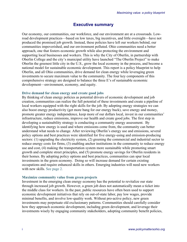## **Executive summary**

Our economy, our communities, our workforce, and our environment are at a crossroads. Lowroad development practices—based on low taxes, big incentives, and little oversight—have not produced the promised job growth. Instead, these policies have left our workers behind, our communities impoverished, and our environment polluted. Ohio communities need a better approach, one that fosters economic growth while also protecting the environment and supporting local businesses and workers. This is why the City of Oberlin, in partnership with Oberlin College and the city's municipal utility have launched "The Oberlin Project" to make Oberlin the greenest little city in the U.S., grow the local economy in the process, and become a national model for sustainable economic development. This report is a policy blueprint to help Oberlin, and all Ohio communities, drive demand for clean energy while leveraging green investments to secure maximum value to the community. The four key components of this comprehensive strategy are designed to balance the three E's of sustainable economic development—environment, economy, and equity.

#### **Drive demand for clean energy and create good jobs**

By thinking of clean energy policies as potential drivers of economic development and job creation, communities can realize the full potential of these investments and create a pipeline of local workers equipped with the right skills for the job. By adopting energy strategies we can also boost energy productivity (get more bang for our energy buck), save energy and money, promote greater energy independence, keep more of our dollars local, invest in our communities' infrastructure, reduce emissions, improve our health and create good jobs. The first step in developing a sustainability strategy is conducting a community energy assessment. By identifying how energy is used and where emissions come from, the community can better understand what needs to change. After reviewing Oberlin's energy use and emissions, several policy options and best practices were identified for five energy-using and emission-producing sectors: (1) upgrading the electricity system, (2) greening the commercial and industrial sector to reduce energy costs for firms, (3) enabling anchor institutions in the community to reduce energy use and cost, (4) making the transportation system more sustainable while promoting smart growth and complete street principles, and (5) promote energy savings for Oberlin residents in their homes. By adopting policy options and best practices, communities can spur local investments in the green economy. Doing so will increase demand for certain existing occupations and require enhanced skills in others. Emerging industries will need new workers with new skills. See page 2.

#### **Maximize community value from green projects**

Investment in the emerging clean energy economy has the potential to revitalize our state through increased job growth. However, a green job does not automatically mean a ticket into the middle class for workers. In the past, public resources have often been used to support economic development initiatives that rely on out-of-state labor, pay low wages, provide minimal benefits, and involve low-quality work. Without pro-active policy, new green investments may perpetuate old exclusionary patterns. Communities should carefully consider how they approach economic development, including green development, and leverage their investments wisely by engaging community stakeholders, adopting community benefit policies,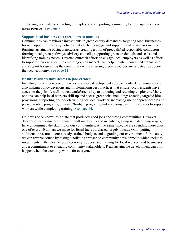employing best value contracting principles, and supporting community benefit agreements on green projects. See page 7.

#### **Support local business entrance to green markets**

Communities can maximize investments in green energy demand by targeting local businesses for new opportunities. Key policies that can help engage and support local businesses include: forming sustainable business networks, creating a pool of prequalified responsible contractors, forming local green pathways advisory councils, supporting green credentials and seals, and identifying training needs. Targeted outreach efforts to engage local employers as well as efforts to support their entrance into emerging green markets can help maintain continued enthusiasm and support for greening the community while ensuring green resources are targeted to support the local economy. See page 11.

#### **Ensure residents have access to jobs created**

Investing in the green economy is a sustainable development approach only if communities are also making policy decisions and implementing best practices that ensure local residents have access to the jobs. A well-trained workforce is key to attracting and retaining employers. Many options can help local workers skill-up and access green jobs, including: enacting targeted hire provisions, supporting on-the-job training for local workers, increasing use of apprenticeship and pre-apprentice programs, creating "bridge" programs, and accessing existing resources to support workers while completing training. See page 14.

Ohio was once known as a state that produced good jobs and strong communities. However, decades of economic development built on tax cuts and incentives, along with declining wages, have undermined the stability of our communities. At the same time, we are spending more than one of every 10 dollars we make for fossil fuels purchased largely outside Ohio, putting additional pressure on our already strained budgets and degrading our environment. Fortunately, we can reverse course by taking a holistic approach to community development, which includes investments in the clean energy economy, support and training for local workers and businesses, and a commitment to engaging community stakeholders. Real sustainable development can only happen when the economy works for everyone.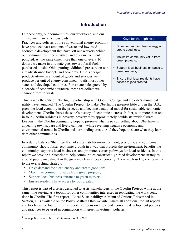# **Introduction**

Our economy, our communities, our workforce, and our environment are at a crossroads.

Practices and policies of the conventional energy economy have produced vast amounts of waste and low-road economic development that have left our workers behind, our communities impoverished, and our environment polluted. At the same time, more than one of every 10 dollars we make in this state goes toward fossil fuels purchased outside Ohio, putting additional pressure on our already strained budgets and economy. Ohio's energy productivity—the amount of goods and services we produce per unit of energy consumed—trails most other states and developed countries. For a state beleaguered by a decade of economic downturn, these are dollars we cannot afford to waste.

#### Keys for the high road

- Drive demand for clean energy and create good jobs;
- Maximize community value from green projects;
- Support local business entrance to green markets;
- Ensure that local residents have access to jobs created.

This is why the City of Oberlin, in partnership with Oberlin College and the city's municipal utility have launched "The Oberlin Project" to make Oberlin the greenest little city in the U.S., grow the local economy in the process, and become a national model for sustainable economic development. Oberlin shares the state's history of economic distress. In fact, with more than one in four Oberlin residents in poverty, poverty rates approximately double statewide figures. Leaders in the Oberlin community hope to preserve what is so compelling about Oberlin—its appealing town square and lively campus—while reversing negative economic and environmental trends in Oberlin and surrounding areas. And they hope to share what they learn with other communities.

In order to balance "the three E's" of sustainability—environment, economy, and equity—a community should foster economic growth in a way that protects the environment, benefits the community, supports local businesses and promotes career pathways for local residents. In this report we provide a blueprint to help communities construct high-road development strategies around public investment in the growing clean energy economy. There are four key components to the overarching strategy:

- Drive demand for clean energy and create good jobs;
- Maximize community value from green projects;
- Support local business entrance to green markets;
- Ensure residents have access to jobs created.

This report is part of a series designed to assist stakeholders in the Oberlin Project, while at the same time serving as a toolkit for other communities interested in replicating the work being done in Oberlin. The first report, "Local Sustainability: A Menu of Options," described in Section, 1, is available on the Policy Matters Ohio website, where all additional toolkit reports and briefs can be found.<sup>1</sup> In this report, we focus on high-road economic development policies and practices to be used in conjunction with green investment policies.

<sup>1</sup> www.policymattersohio.org/ high-road-toolkit-2011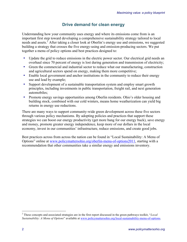# **Drive demand for clean energy**

Understanding how your community uses energy and where its emissions come from is an important first step toward developing a comprehensive sustainability strategy tailored to local needs and assets.<sup>2</sup> After taking a closer look at Oberlin's energy use and emissions, we suggested building a strategy that crosses the five energy-using and emission-producing sectors. We put together a menu of policy options and best practices designed to:

- Update the grid to reduce emissions in the electric power sector. Our electrical grid needs an overhaul since 70 percent of energy is lost during generation and transmission of electricity;
- Green the commercial and industrial sector to reduce what our manufacturing, construction and agricultural sectors spend on energy, making them more competitive;
- Enable local government and anchor institutions in the community to reduce their energy use and lead by example;
- Support development of a sustainable transportation system and employ smart growth principles, including investments in public transportation, freight rail, and next generation automobiles;
- Promote energy savings opportunities among Oberlin residents. Ohio's older housing and building stock, combined with our cold winters, means home weatherization can yield big returns in energy use reductions.

There are many ways to support community-wide green development across these five sectors through various policy mechanisms. By adopting policies and practices that support these strategies we can boost our energy productivity (get more bang for our energy buck), save energy and money, promote greater energy independence, keep more of our dollars in the local economy, invest in our communities' infrastructure, reduce emissions, and create good jobs.

Best practices across from across the nation can be found in "Local Sustainability: A Menu of Options" online at www.policymattersohio.org/oberlin-menu-of-options2011, starting with a recommendation that other communities take a similar energy and emissions inventory.

<sup>2</sup> These concepts and associated strategies are in the first report discussed in the green pathways toolkit, "*Local Sustainability: A Menu of Options*" available at www.policymattersohio.org/local-sustainability-menu-of-options.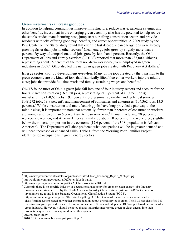#### **Green investments can create good jobs**

In addition to helping communities improve infrastructure, reduce waste, generate savings, and other benefits, investment in the emerging green economy also has the potential to help revive the state's eroded manufacturing base, jump start our ailing construction sector, and provide residents with jobs offering good pay, benefits, and career opportunities. A 2009 study by the Pew Center on the States study found that over the last decade, clean energy jobs were already growing faster than jobs in other sectors.<sup>3</sup> Clean energy jobs grew by slightly more than 9 percent. By way of comparison, total jobs grew by less than 4 percent. Recently, the Ohio Department of Jobs and Family Services (ODJFS) reported that more than 783,000 Ohioans, representing about 15 percent of the total non-farm workforce, were employed in green industries in 2009.<sup>4</sup> Ohio also led the nation in green jobs created with Recovery Act dollars.<sup>5</sup>

**Energy sector and job development overview.** Many of the jobs created by the transition to the green economy are the kinds of jobs that historically lifted blue-collar workers into the middle class; jobs that provide full-time work and family sustaining wages and benefits.<sup>6</sup>

ODJFS found most of Ohio's green jobs fall into one of four industry sectors and account for the lion's share: construction (169,628 jobs, representing 21.6 percent of all green jobs); manufacturing (150,653 jobs, 19.2 percent); professional, scientific, and technical services (148,272 jobs, 18.9 percent); and management of companies and enterprises (104,362 jobs, 13.3 percent).<sup>7</sup> While construction and manufacturing jobs have long provided a pathway to the middle class, it is important to note that nationally, fewer than 9 percent of construction workers are women and fewer than 6 percent are African American.<sup>8</sup> In manufacturing, 28 percent of workers are women, and African Americans make up about 10 percent of the workforce, slightly below their overall proportion in the economy (12.6 percent of the U.S. population is African American). The Department of Labor predicted what occupations will be in greater demand and will need increased or enhanced skills. Table 1, from the Working Poor Families Project, identifies top occupations in green energy sectors.

<sup>6</sup> Currently there is no specific industry or occupational taxonomy for green or clean energy jobs. Industry taxonomies are standardized by the North American Industry Classification System (NAICS). Occupation taxonomies are found in the Standard Occupational Classification System (SOCS). http://ohiolmi.com/green/reports/Pt1Obstacles.pdf pg. 3. The Bureau of Labor Statistics has created a classification system based on whether the production output or end service is green. The BLS has classified 333

 $3 \text{ http://www.pewcenter on the states.org/uploadedFiles/Clear\_Economy\_Report\_Web.pdf pg } 3 \text{ <sup>4</sup> http://ohiolmi.com/green/reports/Pt2Potential.pdf pg } 2.$ 

<sup>5</sup> http://www.policymattersohio.org/ARRA\_OhiosWorkforce2011.htm

industries as green job industries. This report relies on BLS data and adopts the BLS output based definition of a green industry. However, it should be noted that as industries incorporate green or clean energy into their production systems are not captured under this system. 7 ODJFS green study.

<sup>8</sup> 2010 BLS data- www.bls.gov/cps/cpsaat18.pdf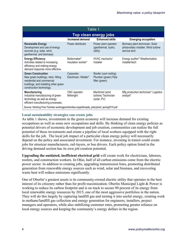| Table 1                                                                                                                                                            |                                    |                                                                 |                                                                                         |  |  |
|--------------------------------------------------------------------------------------------------------------------------------------------------------------------|------------------------------------|-----------------------------------------------------------------|-----------------------------------------------------------------------------------------|--|--|
| Top clean energy jobs                                                                                                                                              |                                    |                                                                 |                                                                                         |  |  |
|                                                                                                                                                                    | Increased demand                   | <b>Enhanced skills</b>                                          | <b>Emerging occupation</b>                                                              |  |  |
| <b>Renewable Energy</b><br>Development and use of energy<br>sources (e.g. solar, wind,<br>geothermal, and biomass)                                                 | Power distributor                  | Power plant operator<br>(geothermal, hydro,<br>utility)         | Biomass plant technician; Solar<br>photovoltaic installer; Wind turbine<br>service tech |  |  |
| <b>Energy Efficiency</b><br>Activities related to increasing<br>efficiency and making energy<br>demand response more effective.                                    | Boilermaker*<br>Insulation worker* | HVAC mechanic/<br>Installer                                     | Energy auditor* Weatherization<br>installer/tech                                        |  |  |
| <b>Green Construction</b><br>New green buildings, retro-fitting<br>residential and commercial<br>buildings, and installing other green<br>construction technology. | Carpenter;<br>Electrician; Welder* | Roofer (cool roofing)<br>Plumber (green) Pipe<br>fitter (green) |                                                                                         |  |  |
| Manufacturing<br>Industrial manufacturing of green<br>technology as well as energy<br>efficient manufacturing processes.                                           | CNC operator<br>Millwright         | Machinist (wind<br>turbine) Technician<br>(solar, PV)           | Mfg production technician* Logistics<br>analyst*                                        |  |  |
| Source: Working Poor Families workingpoorfamilies.org/pdfs/wpfp_policybrief_spring2010.pdf                                                                         |                                    |                                                                 |                                                                                         |  |  |

#### **Local sustainability strategies can create jobs**

As table 1 shows, investments in the green economy will increase demand for existing occupations as well as some new occupations and skills. By thinking of clean energy policies as potential drivers of economic development and job creation, communities can realize the full potential of these investments and create a pipeline of local workers equipped with the right skills for the job. The local job impact of a particular clean energy policy will necessarily depend on the policy and associated investment. For instance, investing in transit could create jobs for streetcar manufacturers, rail-layers, or bus drivers. Each policy option listed in the driving demand section has its own job creation potential.

**Upgrading the outdated, inefficient electrical grid** will create work for electricians, laborers, roofers, and construction workers. In Ohio, half of all carbon emissions come from the electric power sector. In addition to creating jobs, upgrading transmission lines, promoting distributed generation from renewable energy sources such as wind, solar and biomass, and recovering waste heat will reduce emissions significantly.

One of Oberlin's greatest assets is its community-owned electric utility that operates in the best interest of its citizenry rather than for profit maximization. Oberlin Municipal Light & Power is working to reduce its carbon footprint and is on track to secure 90 percent of its energy from local renewable energy resources by 2015, one of the most aggressive portfolios in the nation. They will do this largely by capturing landfill gas and turning it into useful energy, creating work in methane/landfill gas collection and energy generation for engineers, installers, project managers and operators, while also stabilizing customer rates, promoting greater reliance on local energy sources and keeping the community's energy dollars in the region.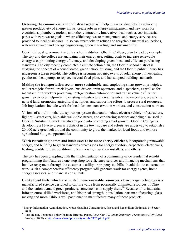**Greening the commercial and industrial sector** will help retain existing jobs by achieving greater productivity of energy inputs, create jobs in energy management and new work for electricians, plumbers, roofers, and other contractors. Innovative ideas such as eco-industrial parks with zero waste goals—where efficiency, waste management, and energy services are provided to local businesses—also can create jobs in refuse and recyclable material collections, water/wastewater and energy engineering, green marketing, and sustainability.

Oberlin's local government and its anchor institution, Oberlin College, plan to lead by example. The city and the college are analyzing their energy use, setting goals to increase renewable energy use, promoting energy efficiency, and developing green, local and efficient purchasing standards. The city recently completed a climate action plan, the Oberlin school district is studying the concept of a consolidated, green school building, and the Oberlin public library has undergone a green retrofit. The college is securing two megawatts of solar energy, investigating geothermal heat pumps to replace its coal-fired plant, and has adopted building standards.

**Making the transportation sector more sustainable,** and employing smart growth principles, will create jobs for rail-track layers, bus drivers, train operators, and dispatchers, as well as for manufacturing workers producing next-generation automobiles and transit vehicles.<sup>9</sup> Smart growth principles help—fixing existing infrastructure, creating vibrant town centers, preserving natural land, promoting agricultural activities, and supporting efforts to process rural resources. Job implications include work for local farmers, conservation workers, and construction workers.

Visions of a multi-modal transportation system that could include electric vehicle infrastructure, light rail, street cars, bike-able walk-able streets, and car-sharing services are being discussed in Oberlin. Substantial work has already gone into promoting smart growth. Oberlin College is developing a 13-acre green arts district in the town square and efforts are underway to establish a 20,000-acre greenbelt around the community to grow the market for local foods and explore agricultural bio-gas opportunities.

**Work retrofitting homes and businesses to be more energy efficient,** incorporating renewable energy, and building to green standards creates jobs for energy auditors, carpenters, electricians, heating, ventilation, air conditioning technicians, insulation installers, and others.

The city has been grappling with the implementation of a community-wide residential retrofit programming that features a one-stop shop for efficiency services and financing mechanisms that involve repayment through the customer's utility or property tax bills. In addition to construction work, such a comprehensive efficiency program will generate work for energy agents, home energy assessors, and financial consultants.

**Unlike fossil fuels, which are limited, non-renewable resources,** clean energy technology is a manufactured science designed to capture value from potentially unlimited resources. If Ohio and the nation demand green products, someone has to supply them.<sup>10</sup> Because of its industrial infrastructure, skilled workforce, and historical strength in insulation, part manufacturing, glass making and more, Ohio is well positioned to manufacture many of these products.

<sup>&</sup>lt;sup>9</sup> Energy Information Administration, Motor Gasoline Consumption, Price, and Expenditure Estimates by Sector, 2008.

<sup>&</sup>lt;sup>10</sup> Sue Helper, Economic Policy Institute Briefing Paper, *Renewing U.S. Manufacturing: Promoting a High-Road Strategy* (2008) at http://www.sharedprosperity.org/bp212/bp212.pdf.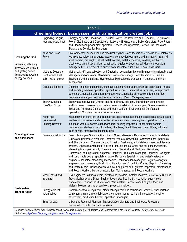| Table 2                                                                                                                                     |                                                              |                                                                                                                                                                                                                                                                                                                                                                                                                                                                                                                                                                                                                                                                                                                                                                                                                                                                                                                                                                                                                               |  |  |
|---------------------------------------------------------------------------------------------------------------------------------------------|--------------------------------------------------------------|-------------------------------------------------------------------------------------------------------------------------------------------------------------------------------------------------------------------------------------------------------------------------------------------------------------------------------------------------------------------------------------------------------------------------------------------------------------------------------------------------------------------------------------------------------------------------------------------------------------------------------------------------------------------------------------------------------------------------------------------------------------------------------------------------------------------------------------------------------------------------------------------------------------------------------------------------------------------------------------------------------------------------------|--|--|
| Greening homes, businesses, grid, transportation creates jobs                                                                               |                                                              |                                                                                                                                                                                                                                                                                                                                                                                                                                                                                                                                                                                                                                                                                                                                                                                                                                                                                                                                                                                                                               |  |  |
|                                                                                                                                             | Upgrading the grid,<br>reducing waste heat                   | Energy engineers, Electricians, Electrical Power-Line Installers and Repairers, Boilermakers,<br>Power Distributors and Dispatchers, Stationary Engineers and Boiler Operators, Pipe Fitters<br>and Steamfitters, power plant operators, Service Unit Operators, Service Unit Operators,<br>Storage and Distribution Managers                                                                                                                                                                                                                                                                                                                                                                                                                                                                                                                                                                                                                                                                                                 |  |  |
| <b>Greening the Grid</b><br>Increasing efficiency<br>in electric generation,<br>and getting power<br>from local renewable<br>energy sources | Wind and Solar<br>Power                                      | Environmental, mechanical, and electrical engineers and technicians, electricians, installation<br>technicians, helpers, managers, laborers, construction operators and managers, iron and<br>steel workers, millwrights, sheet metal workers, metal fabricators, welders, machinists,<br>electric equipment assemblers, construction equipment operators, industrial production<br>managers, first-line production supervisors, industrial truck drivers, solar assessors                                                                                                                                                                                                                                                                                                                                                                                                                                                                                                                                                    |  |  |
|                                                                                                                                             | Methane Digesters,<br>Geothermal, Fuel<br>cells, Water power | Methane/landfill gas collection and Capturing, generation System Engineers/Installers/Project<br>Managers and operators, Geothermal Production Managers and technicians, Fuel Cell<br>Engineers and technicians, Hydrologists, Hydroelectric production managers, and Plant<br>Technicians                                                                                                                                                                                                                                                                                                                                                                                                                                                                                                                                                                                                                                                                                                                                    |  |  |
|                                                                                                                                             | Cellulosic Biofuels                                          | Chemical engineers, chemists, chemical equipment operators, chemical technicians, mixing<br>and blending machine operators, agricultural workers, industrial truck drivers, farm product<br>purchasers, agricultural and forestry supervisors, agricultural inspectors, Biomass Plant<br>Engineers, managers, and technicians. Farm and Ranch Managers, hands.                                                                                                                                                                                                                                                                                                                                                                                                                                                                                                                                                                                                                                                                |  |  |
| <b>Greening homes</b><br>and businesses                                                                                                     | <b>Energy Services</b><br>One-Stop Shop                      | Energy agent (advocate), Home and Farm Energy advisors, financial advisors, energy<br>auditors, energy assessors and raters, energy/sustainability managers, Greenhouse Gas<br>Emissions Permitting Consultants and report verifiers, Environmental Certification<br>Specialists, Customer Service Representatives,                                                                                                                                                                                                                                                                                                                                                                                                                                                                                                                                                                                                                                                                                                           |  |  |
|                                                                                                                                             | Home and<br>Commercial<br><b>Building Retrofits</b>          | Weatherization Installers and Technicians, electricians, heating/air conditioning installers and<br>mechanics, carpenters and carpenter helpers, construction equipment operators, roofers,<br>insulation workers, construction managers, building inspectors, sheet metal workers,<br>Refrigeration Mechanics and Installers, Plumbers, Pipe Fitters and Steamfitters, industrial<br>truck drivers, remediation/deconstruction                                                                                                                                                                                                                                                                                                                                                                                                                                                                                                                                                                                               |  |  |
|                                                                                                                                             | <b>Eco-Industrial Parks</b>                                  | Energy Managers/Sustainability officers, Green Marketers, Refuse and Recyclable Material<br>Collectors, Hazardous Materials Removal Workers, Brownfield Redevelopment Specialists<br>and Site Managers, Commercial and Industrial Designers, Industrial engineers, architectural<br>drafters, Landscape Architects, Soil and Plant Scientists, water and soil conservationists,<br>Marketing Managers, supply chain manager, Electrical and Electronics Repairers,<br>Commercial and Industrial Equipment, Industrial Production Managers, Industrial Ecologists,<br>and sustainable design specialists, Water Resource Specialists, and water/wastewater<br>engineers, Industrial Machinery Mechanics, Transportation Managers, Logistics Analysts,<br>engineers, and managers, Production, Planning, and Expediting Clerks, Shipping, Receiving,<br>and Traffic Clerks, Transportation Vehicle, Equipment and Systems Inspectors, Maintenance<br>and Repair Workers, Helpers--Installation, Maintenance, and Repair Workers |  |  |
| <b>Sustainable</b><br>Transportation                                                                                                        | Mass Transit and<br>freight rail                             | Civil engineers, rail track layers, electricians, welders, metal fabricators, bus drivers, Bus and<br>Truck Mechanics and Diesel Engine Specialists, first-line transportation supervisors,<br>dispatchers, Railroad Conductors and Yardmasters, Laborers and Freight, Stock, and<br>Material Movers, engine assemblers, production helpers                                                                                                                                                                                                                                                                                                                                                                                                                                                                                                                                                                                                                                                                                   |  |  |
|                                                                                                                                             | Energy-efficient<br>automobiles                              | Computer software engineers, electrical engineers and technicians, welders, transportation<br>equipment painters, metal fabricators, computer-controlled machine operators, engine<br>assemblers, production helpers, operations managers                                                                                                                                                                                                                                                                                                                                                                                                                                                                                                                                                                                                                                                                                                                                                                                     |  |  |
|                                                                                                                                             | Smart Growth                                                 | Urban and Regional Planners, Transportation planners and Engineers, Forest and<br><b>Conservation Technicians and workers</b>                                                                                                                                                                                                                                                                                                                                                                                                                                                                                                                                                                                                                                                                                                                                                                                                                                                                                                 |  |  |
| Statistics at http://www.bls.gov/green/greencareers.htm#greendata                                                                           |                                                              | Sources: Pollins & Wicks-Lim, Political Economy Research Institute (PERI), UMass, Job Opportunities in the Green Economy (2008); Bureau of Labor                                                                                                                                                                                                                                                                                                                                                                                                                                                                                                                                                                                                                                                                                                                                                                                                                                                                              |  |  |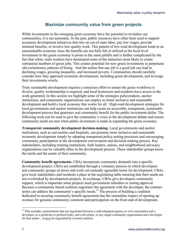## **Maximize community value from green projects**

While investments in the emerging green economy have the potential to revitalize our communities, it is not automatic. In the past, public resources have often been used to support economic development initiatives that rely on out-of-state labor, pay low wages, provide minimal benefits, or involve low-quality work. This pattern of low-road development leads to an unsustainable economy since the benefits are not fully felt or utilized at the local level. Investment in the green economy is prone to the same pitfalls and is further complicated by the fact that white, male workers have dominated some of the industries most likely to create substantial numbers of green jobs. This creates potential for new green investments to perpetuate old exclusionary patterns of hiring. And the notion that any job is a good job can lead to declining wages, growing inequality, and increased poverty. Communities should carefully consider how they approach economic development, including green development, and leverage their investments wisely.

Truly sustainable development requires a conscious effort to ensure the green workforce is diverse, quality workmanship is required, and local businesses and residents have access to the work generated. In this section we highlight some of the strategies policymakers, anchor institutions, and community organizations can employ to foster inclusive and sustainable development and build a local economy that works for all. High-road development strategies for local governments and anchor institutions can help create an accessible, transparent, sustainable development process that generates real community benefit for the public investment dollar. The following tools can be used to give the community a voice in the development debate and ensure community needs are met when public investment is made in expanding the green economy.

**Transparent community development decision-making**. Local governments and anchor institutions, such as universities and hospitals, can promote more inclusive and sustainable economic development simply by adopting transparent policy-setting processes and encouraging community participation in the development conversation and decision-making process. Key stakeholders, including training institutions, faith leaders, unions, and neighborhood advocacy organizations can be valuable allies in the development process. These stakeholder groups know the needs and the assets of their community.

**Community benefit agreements.** CBAs incorporate community demands into a specific development project. CBAs are established through a voluntary process in which developers and community groups sit down and work out mutually agreeable terms for development. CBAs give local stakeholders and residents a place at the negotiating table ensuring that their needs are not overlooked by development projects. In exchange, CBAs give developers community support, which is important when projects need government subsidies or zoning approval. Because a community-based coalition negotiates the agreement with the developer, the contract terms can address the community's specific needs.<sup>11</sup> The process of building a coalition dedicated to securing community benefit agreements has the immediate impact of opening up avenues for genuine community comment and participation on the front end of development.

 $11$  This excludes commitments that are negotiated between a redevelopment agency or civic association and a developer, or a politician or political body, and a developer, or any single community organization and a developer for that matter…it *must* be negotiated by a broad coalition.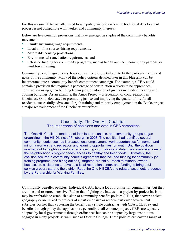For this reason CBAs are often used to win policy victories when the traditional development process is not compatible with worker and community interests.

Below are five common provisions that have emerged as staples of the community benefits movement:

- Family sustaining wage requirements,
- Local or "first source" hiring requirements,
- Affordable housing protections,
- Environmental remediation requirements, and
- Set-aside funding for community programs, such as health outreach, community gardens, or workforce training.

Community benefit agreements, however, can be closely tailored to fit the particular needs and goals of the community. Many of the policy options detailed later in this blueprint can be incorporated into a community benefit commitment campaign. For example, a CBA could contain a provision that required a percentage of construction workers to be apprentices, construction using green building techniques, or adoption of greener methods of heating and cooling buildings. As an example, the Amos Project *–* a federation of congregations in Cincinnati, Ohio, dedicated to promoting justice and improving the quality of life for all residents, successfully advocated for job training and minority employment on the Banks project, a major redevelopment of the Cincinnati waterfront.

## Case study: The One Hill Coalition The importance of coalitions and data in CBA campaigns

The One Hill Coalition, made up of faith leaders, unions, and community groups began organizing in the Hill District of Pittsburgh in 2008. The coalition had identified several community needs, such as increased local employment, work opportunities for women and minority workers, and recreation and learning opportunities for youth. Until the coalition reached out to neighbors and started collecting information and data, they overlooked one of the neighborhood's biggest needs: access to healthy and fresh foods. Ultimately, the coalition secured a community benefits agreement that included funding for community job training programs (and hiring out of it), targeted pre-bid outreach to minority-owned businesses, assistance to develop a local recreation center, and funding to bring a full service grocery store to the district. Read the One Hill CBA and related fact sheets produced by the Partnership for Working Families.

**Community benefits policies.** Individual CBAs hold a lot of promise for communities, but they are time and resource intensive. Rather than fighting the battles on a project-by-project basis, it may be preferable to establish a slate of community benefits policies (CBPs) that cover a select geography or are linked to projects of a particular size or receive particular government subsidies. Rather than capturing the benefits in a single contract as with CBAs, CBPs extend benefits through policy that applies more generally to all or some projects. CBPs are typically adopted by local governments through ordinances but can be adopted by large institutions engaged in many projects as well, such as Oberlin College. These policies can cover a range of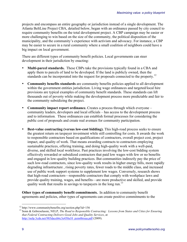projects and encompass an entire geography or jurisdiction instead of a single development. The Atlanta BeltLine Project CBA, detailed below, began with an ordinance passed by city council to require community benefits on the total development project. A CBP campaign may be easier or more challenging to win based on the size of the community, the political disposition of the municipality, and the community's experience with activism and advocacy. For instance, a CBP may be easier to secure in a rural community where a small coalition of neighbors could have a big impact on local government.

There are different types of community benefit policies. Local governments can steer development in their jurisdiction by enacting:

- **Multi-parcel standards.** These CBPs take the provisions typically found in a CBA and apply them to parcels of land to be developed. If the land is publicly owned, then the standards can be incorporated into the request for proposals connected to the property.<sup>12</sup>
- **Community benefits standards** are community benefits policies applied to all development within the government entities jurisdiction. Living wage ordinances and targeted/local hire provisions are typical examples of community benefit standards. These standards can lift thousands out of poverty while making the development process more predictable and fair to the community subsidizing the project.
- **Community impact report ordinance.** Creates a process through which everyone community leaders, developers and local officials – has access to the development process and to information. These ordinances can establish formal processes for considering the public cost of proposals and create real avenues for community participation.
- **Best-value contracting (versus low-cost bidding).** This high-road process seeks to ensure the greatest return on taxpayer investment while still controlling for costs. It awards the work to responsible contractors based on qualifications of contractors, overall project cost, project impact, and quality of work. That means awarding contracts to contractors employing sustainable practices, offering training, and doing high-quality work with a well-paid, diverse, and skilled local workforce. Past practices involving the low-cost bidding system effectively rewarded or subsidized contractors that paid low wages with few or no benefits and engaged in low-quality building practices. But communities indirectly pay the price of such low-road contractors, since low-quality work results in higher energy bills, more rapidly degrading infrastructure , rising poverty rates, fewer roads to the middle class, and increased use of public work support systems to supplement low wages. Conversely, research shows that high-road contractors—responsible contractors that comply with workplace laws and provide quality training, wages, and benefits—are more productive and skilled, and provide quality work that results in savings to taxpayers in the long run.<sup>13</sup>

**Other types of community benefit commitments.** In addition to community benefit agreements and policies, other types of agreements can create positive commitments to the

<sup>&</sup>lt;sup>12</sup> http://www.communitybenefits.org/section.php?id=156<br><sup>13</sup> Sonn & Gebreselassie, NELP, *The Road to Responsible Contracting: Lessons from States and Cities for Ensuring that Federal Contracting Delivers Good Jobs and Quality Services*, at http://nelp.3cdn.net/985daceb6c3e450a10\_pzm6brsaa.pdf (2009).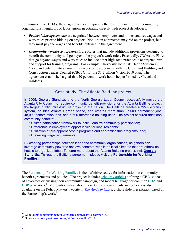community. Like CBAs, these agreements are typically the result of coalitions of community organizations, neighbors or labor unions negotiating directly with project developers.

- *Project labor agreements* are negotiated between employers and unions and set wages and work rules prior to bidding on projects. Non-union contractors may bid on the project, but they must pay the wages and benefits outlined in the agreement.
- *Community workforce agreements* are PLAs that include additional provisions designed to benefit the community and go beyond the project's work rules. Essentially, CWAs are PLAs that go beyond wages and work rules to include other high-road practices like targeted hire and support for training programs. For example, University Hospitals Health System in Cleveland entered into a community workforce agreement with the Cleveland Building and Construction Trades Council (CBCTC) for the \$1.2 billion Vision 2010 plan.<sup>3</sup> The agreement established a goal that 20 percent of work hours be performed by Cleveland residents.

## Case study: The Atlanta BeltLine project

In 2005, Georgia Stand-Up and the North Georgia Labor Council successfully moved the Atlanta City Council to require community benefit provisions for the Atlanta Beltline project, the largest public infrastructure project in the nation. The BeltLine creates a 22-mile transit system, doubles Atlanta's green space, and creates more than 37,500 permanent jobs, 48,000 construction jobs, and 5,600 affordable housing units. The project secured additional community benefits:

- Citizen participation framework to institutionalize community participation;
- Preference in employment opportunities for local residents;
- Utilization of pre-apprenticeship programs and apprenticeship programs, and;
- Prevailing wage requirements.

By creating partnerships between labor and community organizations, neighbors can leverage community power to achieve concrete wins in political climates that are otherwise hostile to organized labor. To learn more about the Atlanta BeltLine project, visit **Georgia Stand-Up.** To read the BeltLine agreement, please visit the **Partnership for Working Families.**

The Partnership for Working Families is the definitive source for information on community benefit agreements and policies. The project includes scholarly articles defining a CBA, videos of advocates discussing their community campaign, and model language for common CBA and CBP provisions.<sup>14</sup> More information about these kinds of agreements and policies is also available on the Policy Matters website in *The ABCs of CBAs*, a short slide presentation based on the Partnership's work. 15

<sup>&</sup>lt;sup>14</sup> Go to <u>http://communitybenefits.org/article.php?list=type&type=163</u>. <sup>15</sup> Go to www.policymattersohio.org/high-road-toolkit-2011.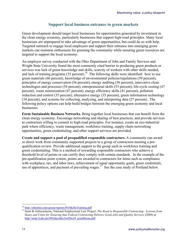## **Support local business entrance to green markets**

Green development should target local businesses for opportunities generated by investment in the clean energy economy, particularly businesses that support high-road principles. Many local businesses are unprepared to take advantage of green opportunities, but could do so with help. Targeted outreach to engage local employers and support their entrance into emerging green markets can maintain enthusiasm for greening the community while ensuring green resources are targeted to support the local economy.

An employer survey conducted with the Ohio Department of Jobs and Family Services and Wright State University found the most commonly cited barrier to producing green products or services was lack of green knowledge and skills, scarcity of workers with other skills needed, and lack of training programs  $(35 \text{ percent})$ .<sup>16</sup> The following skills were identified: how to use green materials (66 percent), knowledge of environmental policies/regulations (59 percent), principles of energy conservation (56 percent), energy auditing (56 percent), innovative clean technologies and processes (54 percent), entrepreneurial skills (53 percent), life-cycle costing (47 percent), waste minimization (47 percent), energy efficiency skills (41 percent), pollution reduction and control (35 percent), alternative energy (35 percent), green information technology (34 percent), and systems for collecting, analyzing, and interpreting data (27 percent). The following policy options can help build bridges between the emerging green economy and local businesses.

**Form Sustainable Business Networks.** Bring together local businesses that can benefit from the clean energy economy. Encourage networking and sharing of best practices, and provide services to contractors willing to commit to high-road principles. For instance, create an eco-industrial park where efficiency, waste management, workforce training, supply chain networking opportunities, green credentialing, and other support services are provided.

**Create and support a pool of prequalified responsible contractors.** A community can award or direct work from community-supported projects to a group of contractors meeting a prequalification review. Provide additional support to the group such as workforce training and green credentialing. This is a method of rewarding responsible contractors who achieve a threshold level of points or can certify they comply with certain standards. In the example of the pre-qualification point system, points are awarded to contractors for items such as compliance with workplace, tax, and labor laws, achievement of equal opportunity goals, green credentials, use of apprentices, and payment of prevailing wages.<sup>17</sup> See the case study of Portland below.

<sup>&</sup>lt;sup>16</sup> http://ohiolmi.com/green/reports/Pt3SkillsTraining.pdf<br><sup>17</sup> Sonn & Gebreselassie, National Employment Law Project, *The Road to Responsible Contracting: Lessons from States and Cities for Ensuring that Federal Contracting Delivers Good Jobs and Quality Services* (2009) at http://nelp.3cdn.net/985daceb6c3e450a10\_pzm6brsaa.pdf.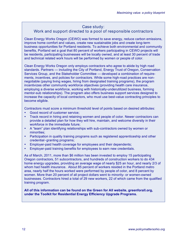#### Case study:

## Work and support directed to a pool of responsible contractors

Clean Energy Works Oregon (CEWO) was formed to save energy, reduce carbon emissions, improve home comfort and values, create new sustainable jobs and create long-term business opportunities for Portland residents. To achieve both environmental and community benefits, Portland set a goal that 80 percent of workers participating in CEWO projects will be residents, participating businesses will be locally owned, and at least 30 percent of trade and technical related work hours will be performed by women or people of color.

Clean Energy Works Oregon only employs contractors who agree to abide by high road standards. Partners — including the City of Portland, Energy Trust of Oregon, Conservation Services Group, and the Stakeholder Committee — developed a combination of requirements, incentives, and policies for contractors. While some high-road practices are nonnegotiable (paying living wages, hiring from designated training programs), the program incentivizes other community workforce objectives (providing health care insurance, employing a diverse workforce, working with historically-underutilized business, forming mentor-sub relationships). The program also offers business support services designed to increase the capacity of local contractors, who must use best-value contracting principles to become eligible.

Contractors must score a minimum threshold level of points based on desired attributes:

- Good record of customer service;
- Track record in hiring and retaining women and people of color. Newer contractors can provide a detailed plan for how they will hire, maintain, and welcome diversity in their workforce in the immediate future;
- A "team" plan identifying relationships with sub-contractors owned by women or minorities;
- Participation in quality training programs such as registered apprenticeship and other credential‐granting programs;
- Employer-paid health coverage for employees and their dependents;
- Employer-paid training benefits for employees to earn new credentials.

As of March, 2011, more than \$6 million has been invested to employ 15 participating Oregon contractors, 51 subcontractors, and hundreds of construction workers to do 434 home energy upgrades, providing an average wage of nearly \$25 an hour, and nearly 2/3 of whom had health insurance. About 85 percent of workers resided in the Portland metro area, nearly half the hours worked were performed by people of color, and 8 percent by women. More than 20 percent of all project dollars went to minority- or women-owned businesses. Contractors hired a total of 29 new workers, 22 of which came from the qualified training program.

**All of this information can be found on the Green for All website, greenforall.org, under the Toolkit for Residential Energy Efficiency Upgrade Programs.**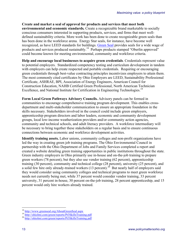**Create and market a seal of approval for products and services that meet both environmental and economic standards***.* Create a recognizable brand marketable to socially conscious consumers interested in supporting products, services, and firms that meet welldefined sustainability criteria. More work has been done to create recognizable green seals than has been done in the workforce arena. Energy Star seals, for instance, have become well recognized, as have LEED standards for buildings. Green Seal provides seals for a wide wage of products and services produced sustainably.<sup>18</sup> Perhaps products stamped "Oberlin approved" could become known for meeting environmental, community and workforce criteria.

**Help and encourage local businesses to acquire green credentials**. Credentials represent value to potential employers. Standardized competency testing and curriculum development in tandem with employers can help create respected and portable credentials. Requiring or encouraging green credentials through best-value contracting principles incentivizes employers to attain them. The most commonly cited certificates by Ohio Employers are LEED, Sustainability Professional Certificate, ASHRAE, BPI, Association of Energy Engineers, American Council for Construction Education, NAHB Certified Green Professional, North American Technician Excellence, and National Institute for Certification in Engineering Technologies.<sup>19</sup>

**Form Local Green Pathways Advisory Councils.** Advisory panels can be formed in communities to encourage comprehensive training program development. This enables crossdepartment and multi-stakeholder communication to ensure an appropriate foundation in the skills necessary. Stakeholders involved in the council could include green employers, apprenticeship program directors and labor leaders, economic and community development groups, local low-income weatherization providers and/or community action agencies, community and technical schools, and adult literacy providers. A workforce intermediary will be necessary to bring together these stakeholders on a regular basis and to ensure continuous connections between economic and workforce development activities.

**Identify training assets.** Labor unions, community colleges and non-profit organizations have led the way in creating green job training programs. The Ohio Environmental Council in partnership with the Ohio Department of Jobs and Family Services completed a report and created a website detailing green training opportunities in public institutions throughout the state. Green industry employers in Ohio primarily use in-house and on-the-job training to prepare green workers (78 percent), but they also use vendor training (62 percent), apprenticeship training (30 percent), community and technical college (28 percent), university (25 percent), and a solid few hire only already-trained workers  $(13 \text{ percent})^{20}$  But nearly half of employers said they would consider using community colleges and technical programs to meet green workforce needs not currently being met, while 37 percent would consider vendor training, 33 percent university, 31 percent in-house, 30 percent on-the-job training, 28 percent apprenticeship, and 15 percent would only hire workers already trained.

<sup>&</sup>lt;sup>18</sup> http://www.greenseal.org/AboutGreenSeal.aspx<br><sup>19</sup> http://ohiolmi.com/green/reports/Pt3SkillsTraining.pdf<br><sup>20</sup> http://ohiolmi.com/green/reports/Pt3SkillsTraining.pdf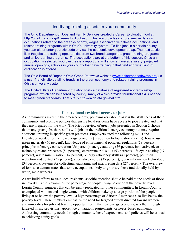## Identifying training assets in your community

The Ohio Department of Jobs and Family Services created a Career Exploration tool at http://ohiolmi.com/asp/Career/JobTool.asp. This site provides comprehensive data on occupations related to the green economy, wages associated with those occupations, and related training programs within Ohio's university system. To find jobs in a certain county you can either enter your zip code or view the economic development map. The next section lists the jobs and training opportunities from two broad categories, green training programs and all job-training programs. The occupations are at the bottom of this section. Once an occupation is selected, you can create a report that will show an average salary, projected annual openings, schools in your county that have training in that field and what kind of certification is offered.

The Ohio Board of Regents Ohio Green Pathways website (www.ohiogreenpathways.org/) is a user-friendly site detailing trends in the green economy and related training programs in Ohio's university system.

The United States Department of Labor hosts a database of registered apprenticeship programs, which can be filtered by county, many of which provide foundational skills needed to meet green standards. That site is http://oa.doleta.gov/bat.cfm.

#### **Ensure local resident access to jobs**

As communities invest in the green economy, policymakers should assess the skill needs of their community and promote policies that ensure local residents have access to jobs created and that they are prepared for the work. The brief overview of green jobs presented in Section 2 shows that many green jobs share skills with jobs in the traditional energy economy but may require additional training in specific green practices. Employers cited the following skills and knowledge needed for the new energy economy (in addition to foundational skills): how to use green materials (66 percent), knowledge of environmental policies/regulations (59 percent), principles of energy conservation (56 percent), energy auditing (56 percent), innovative clean technologies and processes (54 percent), entrepreneurial skills (53 percent), life cycle costing (47 percent), waste minimization (47 percent), energy efficiency skills (41 percent), pollution reduction and control (35 percent), alternative energy (35 percent), green information technology (34 percent), systems for collecting, analyzing, and interpreting data (27 percent). The overview of jobs also demonstrates that some occupations likely to grow are those traditionally held by white, male workers.

As we build efforts to train local residents, specific attention should be paid to the needs of those in poverty. Table 3 examines the percentage of people living below or at the poverty level in Lorain County, numbers that can be easily replicated for other communities. In Lorain County, unemployed women and single women with children make up a large portion of the people living at or below the poverty level; a high percentage of African Americans also live below the poverty level. These numbers emphasize the need for targeted efforts directed toward women and minorities for job and training opportunities in the new energy economy, whether through targeted hiring provisions, apprentice utilization requirements, or needs-based payments. Addressing community needs through community benefit agreements and policies will be critical to achieving equity goals.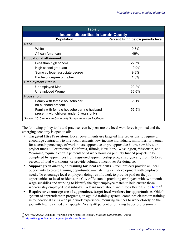| Table 3                                                                                  |                                    |  |  |  |
|------------------------------------------------------------------------------------------|------------------------------------|--|--|--|
| <b>Income disparities in Lorain County</b>                                               |                                    |  |  |  |
| <b>Population</b>                                                                        | Percent living below poverty level |  |  |  |
| Race                                                                                     |                                    |  |  |  |
| White                                                                                    | 9.6%                               |  |  |  |
| African American                                                                         | 46%                                |  |  |  |
| <b>Educational attainment</b>                                                            |                                    |  |  |  |
| Less than high school                                                                    | 27.7%                              |  |  |  |
| High school graduate                                                                     | 10.9%                              |  |  |  |
| Some college, associate degree                                                           | 9.8%                               |  |  |  |
| Bachelor degree or higher                                                                | 1.8%                               |  |  |  |
| <b>Employment Status</b>                                                                 |                                    |  |  |  |
| Unemployed Men                                                                           | 22.2%                              |  |  |  |
| <b>Unemployed Women</b>                                                                  | 36.6%                              |  |  |  |
| <b>Household</b>                                                                         |                                    |  |  |  |
| Family with female householder,<br>no husband present                                    | 36.1%                              |  |  |  |
| Family with female householder, no husband<br>present (with children under 5 years only) | 52.9%                              |  |  |  |
| Source: 2010 American Community Survey, American Factfinder                              |                                    |  |  |  |

The following policy tools and practices can help ensure the local workforce is primed and the emerging economy is open to all:

- **Targeted Hire Provisions.** Local governments use targeted hire provisions to require or encourage contractors to hire local residents, low-income individuals, minorities, or women for a certain percentage of work hours, apprentice or pre-apprentice hours, new hires, or project funds.<sup>21</sup> For instance, California, Illinois, New York, Washington, Wisconsin, and Wyoming require a certain percentage of work hours on publicly funded projects to be completed by apprentices from registered apprenticeship programs, typically from 15 to 20 percent of total work hours, or provide voluntary incentives for doing so.
- **Support green on-the-job training for local residents**. Green projects provide an ideal opportunity to create training opportunities—matching skill development with employer needs. To encourage local employers doing retrofit work to provide paid on-the-job opportunities to local residents, the City of Boston is providing employers with two-month wage subsidies and working to identify the right employee match to help ensure those workers stay employed post subsidy. To learn more about Green Jobs Boston, click here.<sup>22</sup>
- **Require or encourage use of apprentices, target local workers for opportunities.** Ohio's system of apprenticeship programs, an age-old training system, combines classroom training in foundational skills with paid work experience, requiring trainees to work closely on the job with highly skilled craftspeople. Nearly 40 percent of building trades professionals

<sup>21</sup> *See Note above,* Altstadt, Working Poor Families Project, *Building Opportunity* (2010)*.* <sup>22</sup> http://sites.google.com/site/greenjobsboston/home.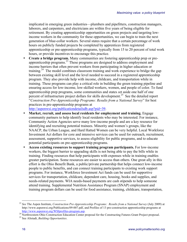implicated in emerging green industries—plumbers and pipefitters, construction managers, laborers, and carpenters, and electricians are within five years of being eligible for retirement. By creating apprenticeship opportunities on green projects and targeting lowincome workers in the community for these opportunities, we can begin to train the next generation of blue-collar workers. Several states require that a certain percentage of work hours on publicly funded projects be completed by apprentices from registered apprenticeship or pre-apprenticeship programs, typically from 15 to 20 percent of total work hours, or provide incentives to encourage this practice.

• **Create a bridge program.** Many communities are fostering apprenticeship prep or preapprenticeship programs.23 These programs are designed to address employment and income barriers that often prevent workers from participating in higher education or training.<sup>24</sup> The model combines classroom training and work experience to bridge the gap between existing skill level and the level needed to succeed in a registered apprenticeship program. They also provide help with income, childcare, and transportation while in training. These programs can play a critical role in building the green training pipeline and ensuring access for low-income, low-skilled workers, women, and people of color. To fund apprenticeship prep programs, some communities and states *s*et aside one half of one percent of infrastructure project dollars for skills development.25 See the detailed report "*Construction Pre-Apprenticeship Programs: Results from a National Survey*" for best practices in pre-apprenticeship programs at

http://aspenwsi.org/publicationdetailsdb.asp?pid=39.

- **Market, recruit, and assess local residents for employment and training.** Engage community partners to help identify local residents who may be interested. For instance, Community Action Agencies serve many low-income people and are a key resource for identifying and recruiting potential trainees. Minority and women's groups, like the NAACP, the Urban League, and Hard Hatted Women can be very helpful. Local Workforce Investment Act dollars for core and intensive services can be used for outreach, recruitment, assessment, supportive services, to assess eligibility for public programs, and to educate potential participants on pre-apprenticeship programs.
- **Access existing resources to support training program participants.** For low-income workers, the biggest barrier to upgrading skills is not being able to pay the bills while in training. Finding resources that help participants with expenses while in training enables greater participation. Some resources are easier to access than others. One great ally in this effort is the Ohio Benefit Bank, a public/private partnership that helps connect low-income people to public benefits, and can connect training participants to existing work support programs. For instance, Workforce Investment Act funds can be used for supportive services for transportation, childcare, dependent care, housing, books and supplies, and needs-related payments. WIA needs-based payments are cash stipends to help someone attend training. Supplemental Nutrition Assistance Program (SNAP) employment and training program dollars can be used for food assistance, training, childcare, transportation,

<sup>&</sup>lt;sup>23</sup> See The Aspen Institute, *Construction Pre-Apprenticeship Programs: Results from a National Survey* (July 2009) at http://www.aspenwsi.org/Publications/09-007.pdf, and Profiles of 13 pre-construction apprenticeship programs at http://www.aspenwsi.org/WSIprofiles-program.asp.

<sup>&</sup>lt;sup>24</sup> Northwestern Ohio Construction Education Center proposal for the Constructing Futures Grant Project proposal.<br><sup>25</sup> See Altstadt, *Building Opportunities*.